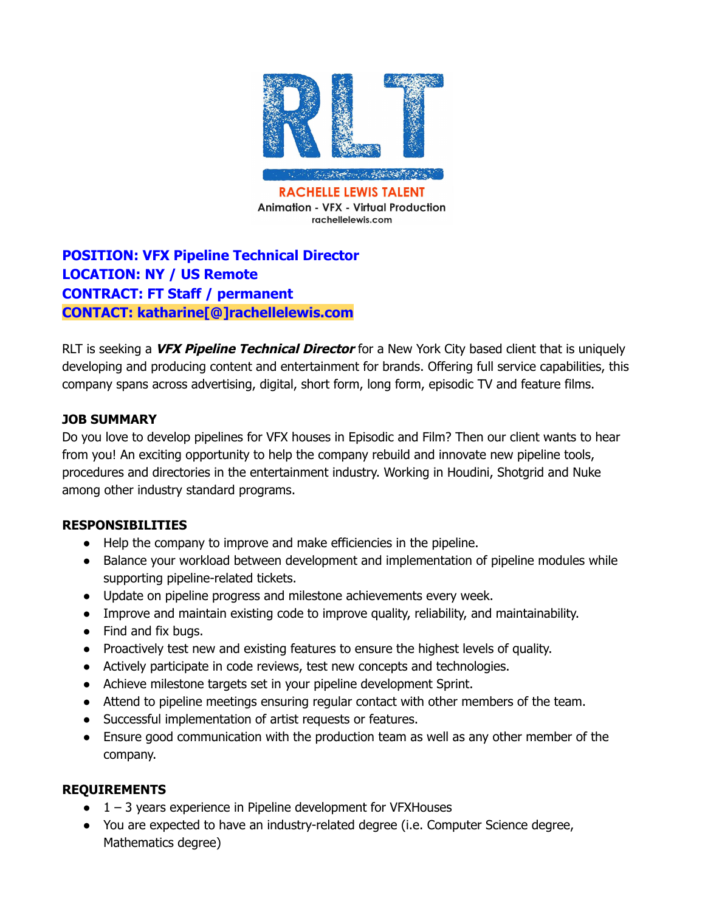

# **POSITION: VFX Pipeline Technical Director LOCATION: NY / US Remote CONTRACT: FT Staff / permanent CONTACT: katharine[@]rachellelewis.com**

RLT is seeking a **VFX Pipeline Technical Director** for a New York City based client that is uniquely developing and producing content and entertainment for brands. Offering full service capabilities, this company spans across advertising, digital, short form, long form, episodic TV and feature films.

## **JOB SUMMARY**

Do you love to develop pipelines for VFX houses in Episodic and Film? Then our client wants to hear from you! An exciting opportunity to help the company rebuild and innovate new pipeline tools, procedures and directories in the entertainment industry. Working in Houdini, Shotgrid and Nuke among other industry standard programs.

### **RESPONSIBILITIES**

- Help the company to improve and make efficiencies in the pipeline.
- Balance your workload between development and implementation of pipeline modules while supporting pipeline-related tickets.
- Update on pipeline progress and milestone achievements every week.
- Improve and maintain existing code to improve quality, reliability, and maintainability.
- Find and fix bugs.
- Proactively test new and existing features to ensure the highest levels of quality.
- Actively participate in code reviews, test new concepts and technologies.
- Achieve milestone targets set in your pipeline development Sprint.
- Attend to pipeline meetings ensuring regular contact with other members of the team.
- Successful implementation of artist requests or features.
- Ensure good communication with the production team as well as any other member of the company.

### **REQUIREMENTS**

- $\bullet$  1 3 years experience in Pipeline development for VFXHouses
- You are expected to have an industry-related degree (i.e. Computer Science degree, Mathematics degree)